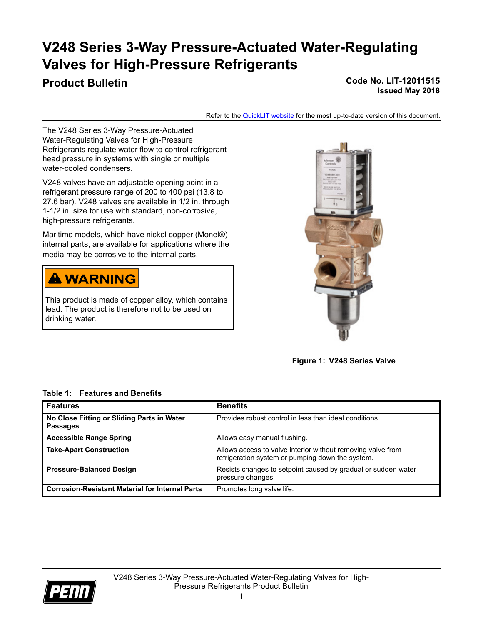# **V248 Series 3-Way Pressure-Actuated Water-Regulating Valves for High-Pressure Refrigerants**

# **Product Bulletin Code No. LIT-12011515 Issued May 2018**

Refer to the [QuickLIT website](http://cgproducts.johnsoncontrols.com/default.aspx) for the most up-to-date version of this document.

The V248 Series 3-Way Pressure-Actuated Water-Regulating Valves for High-Pressure Refrigerants regulate water flow to control refrigerant head pressure in systems with single or multiple water-cooled condensers.

V248 valves have an adjustable opening point in a refrigerant pressure range of 200 to 400 psi (13.8 to 27.6 bar). V248 valves are available in 1/2 in. through 1-1/2 in. size for use with standard, non-corrosive, high-pressure refrigerants.

Maritime models, which have nickel copper (Monel®) internal parts, are available for applications where the media may be corrosive to the internal parts.

# **A WARNING**

This product is made of copper alloy, which contains lead. The product is therefore not to be used on drinking water.



**Figure 1: V248 Series Valve**

# **Table 1: Features and Benefits**

| <b>Features</b>                                               | <b>Benefits</b>                                                                                                 |
|---------------------------------------------------------------|-----------------------------------------------------------------------------------------------------------------|
| No Close Fitting or Sliding Parts in Water<br><b>Passages</b> | Provides robust control in less than ideal conditions.                                                          |
| <b>Accessible Range Spring</b>                                | Allows easy manual flushing.                                                                                    |
| <b>Take-Apart Construction</b>                                | Allows access to valve interior without removing valve from<br>refrigeration system or pumping down the system. |
| <b>Pressure-Balanced Design</b>                               | Resists changes to setpoint caused by gradual or sudden water<br>pressure changes.                              |
| <b>Corrosion-Resistant Material for Internal Parts</b>        | Promotes long valve life.                                                                                       |

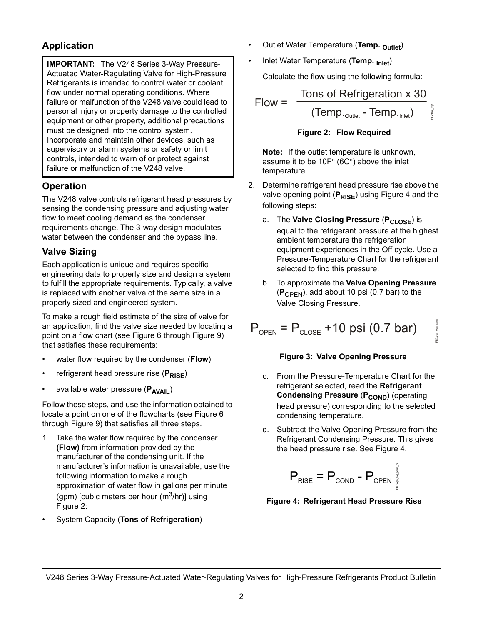# **Application**

**IMPORTANT:** The V248 Series 3-Way Pressure-Actuated Water-Regulating Valve for High-Pressure Refrigerants is intended to control water or coolant flow under normal operating conditions. Where failure or malfunction of the V248 valve could lead to personal injury or property damage to the controlled equipment or other property, additional precautions must be designed into the control system. Incorporate and maintain other devices, such as supervisory or alarm systems or safety or limit controls, intended to warn of or protect against failure or malfunction of the V248 valve.

# **Operation**

The V248 valve controls refrigerant head pressures by sensing the condensing pressure and adjusting water flow to meet cooling demand as the condenser requirements change. The 3-way design modulates water between the condenser and the bypass line.

# **Valve Sizing**

Each application is unique and requires specific engineering data to properly size and design a system to fulfill the appropriate requirements. Typically, a valve is replaced with another valve of the same size in a properly sized and engineered system.

To make a rough field estimate of the size of valve for an application, find the valve size needed by locating a point on a flow chart (see [Figure 6](#page-3-0) through [Figure 9\)](#page-4-0) that satisfies these requirements:

- water flow required by the condenser (**Flow**)
- refrigerant head pressure rise (P<sub>RISE</sub>)
- available water pressure (P<sub>AVAII</sub>)

Follow these steps, and use the information obtained to locate a point on one of the flowcharts (see [Figure 6](#page-3-0) through [Figure 9\)](#page-4-0) that satisfies all three steps.

- 1. Take the water flow required by the condenser **(Flow)** from information provided by the manufacturer of the condensing unit. If the manufacturer's information is unavailable, use the following information to make a rough approximation of water flow in gallons per minute (gpm) [cubic meters per hour ( $m<sup>3</sup>/hr$ )] using [Figure 2](#page-1-0):
- System Capacity (**Tons of Refrigeration**)
- Outlet Water Temperature (**Temp. Outlet**)
- Inlet Water Temperature (**Temp. Inlet**)

Calculate the flow using the following formula:

Flow = 
$$
\frac{\text{Tons of Refrigeration x 30}}{(\text{Temp.}_{\text{outlet}} - \text{Temp.}_{\text{inlet}})}
$$

**Figure 2: Flow Required**

<span id="page-1-0"></span>**Note:** If the outlet temperature is unknown, assume it to be  $10F^{\circ}$  (6C°) above the inlet temperature.

- 2. Determine refrigerant head pressure rise above the valve opening point (P<sub>RISE</sub>) using [Figure 4](#page-1-1) and the following steps:
	- a. The Valve Closing Pressure (P<sub>CLOSE</sub>) is equal to the refrigerant pressure at the highest ambient temperature the refrigeration equipment experiences in the Off cycle. Use a Pressure-Temperature Chart for the refrigerant selected to find this pressure.
	- b. To approximate the **Valve Opening Pressure**  (**P**OPEN), add about 10 psi (0.7 bar) to the Valve Closing Pressure.

FIG:eqn\_opn\_prssr

opn\_prssr

$$
P_{\text{OPEN}} = P_{\text{CLOSE}} + 10 \text{ psi} (0.7 \text{ bar})
$$

# **Figure 3: Valve Opening Pressure**

- <span id="page-1-2"></span>c. From the Pressure-Temperature Chart for the refrigerant selected, read the **Refrigerant Condensing Pressure (P<sub>COND</sub>) (operating** head pressure) corresponding to the selected condensing temperature.
- d. Subtract the Valve Opening Pressure from the Refrigerant Condensing Pressure. This gives the head pressure rise. See [Figure 4](#page-1-1).

$$
\mathsf{P}_{\text{RISE}} = \mathsf{P}_{\text{COND}} - \mathsf{P}_{\text{OPEN}} \bigg[ \mathsf{P}_{\text{SPEN}} \bigg]
$$

# <span id="page-1-1"></span>**Figure 4: Refrigerant Head Pressure Rise**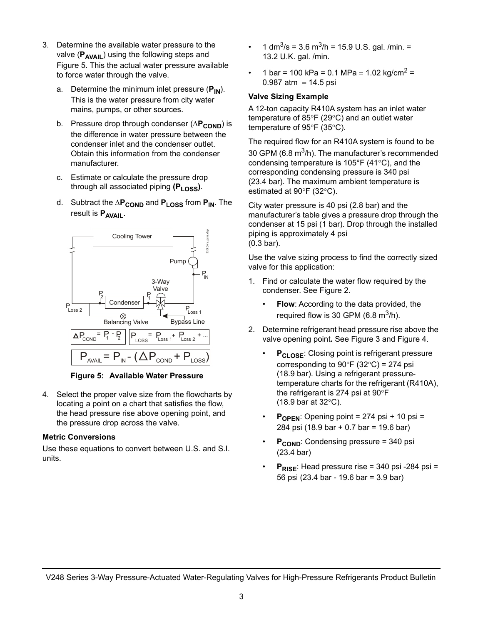- 3. Determine the available water pressure to the valve (P<sub>AVAIL</sub>) using the following steps and [Figure 5](#page-2-0). This the actual water pressure available to force water through the valve.
	- a. Determine the minimum inlet pressure (P<sub>IN</sub>). This is the water pressure from city water mains, pumps, or other sources.
	- b. Pressure drop through condenser ( $\Delta P_{\text{COMP}}$ ) is the difference in water pressure between the condenser inlet and the condenser outlet. Obtain this information from the condenser manufacturer.
	- c. Estimate or calculate the pressure drop through all associated piping (P<sub>LOSS</sub>).
	- d. Subtract the  $\Delta P_{\text{COND}}$  and  $P_{\text{LOS}}$  from  $P_{\text{IN}}$ . The result is **PAVAIL**.



**Figure 5: Available Water Pressure**

<span id="page-2-0"></span>4. Select the proper valve size from the flowcharts by locating a point on a chart that satisfies the flow, the head pressure rise above opening point, and the pressure drop across the valve.

# **Metric Conversions**

Use these equations to convert between U.S. and S.I. units.

- 1 dm<sup>3</sup>/s = 3.6 m<sup>3</sup>/h = 15.9 U.S. gal. /min. = 13.2 U.K. gal. /min.
- 1 bar = 100 kPa = 0.1 MPa = 1.02 kg/cm<sup>2</sup> = 0.987 atm =  $14.5$  psi

# **Valve Sizing Example**

A 12-ton capacity R410A system has an inlet water temperature of 85 $\degree$ F (29 $\degree$ C) and an outlet water temperature of  $95^{\circ}F$  (35 $^{\circ}C$ ).

The required flow for an R410A system is found to be 30 GPM (6.8  $m^3/h$ ). The manufacturer's recommended condensing temperature is  $105^{\circ}F$  (41 $^{\circ}C$ ), and the corresponding condensing pressure is 340 psi (23.4 bar). The maximum ambient temperature is estimated at  $90^{\circ}$ F (32 $^{\circ}$ C).

City water pressure is 40 psi (2.8 bar) and the manufacturer's table gives a pressure drop through the condenser at 15 psi (1 bar). Drop through the installed piping is approximately 4 psi (0.3 bar).

Use the valve sizing process to find the correctly sized valve for this application:

- 1. Find or calculate the water flow required by the condenser. See [Figure 2.](#page-1-0)
	- **Flow**: According to the data provided, the required flow is 30 GPM (6.8  $m^3/h$ ).
- 2. Determine refrigerant head pressure rise above the valve opening point**.** See [Figure 3](#page-1-2) and [Figure 4.](#page-1-1)
	- **P<sub>CLOSE</sub>:** Closing point is refrigerant pressure corresponding to  $90^{\circ}$ F (32 $^{\circ}$ C) = 274 psi (18.9 bar). Using a refrigerant pressuretemperature charts for the refrigerant (R410A), the refrigerant is 274 psi at  $90^{\circ}$ F  $(18.9 \text{ bar at } 32^{\circ}\text{C}).$
	- $P_{\text{OPEN}}$ : Opening point = 274 psi + 10 psi = 284 psi (18.9 bar + 0.7 bar = 19.6 bar)
	- **P<sub>COND</sub>:** Condensing pressure = 340 psi (23.4 bar)
	- **PRISE:** Head pressure rise = 340 psi -284 psi = 56 psi (23.4 bar - 19.6 bar = 3.9 bar)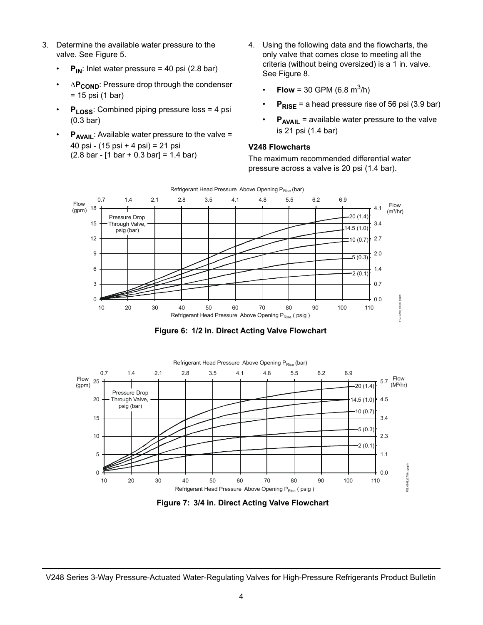- 3. Determine the available water pressure to the valve. See [Figure 5.](#page-2-0)
	- $P_{IN}$ : Inlet water pressure = 40 psi (2.8 bar)
	- ΔP<sub>COND</sub>: Pressure drop through the condenser = 15 psi (1 bar)
	- **PLOSS:** Combined piping pressure loss = 4 psi (0.3 bar)
	- **P<sub>AVAIL</sub>:** Available water pressure to the valve = 40 psi - (15 psi + 4 psi) = 21 psi (2.8 bar - [1 bar + 0.3 bar] = 1.4 bar)
- 4. Using the following data and the flowcharts, the only valve that comes close to meeting all the criteria (without being oversized) is a 1 in. valve. See [Figure 8](#page-4-1).
	- **Flow** = 30 GPM (6.8 m<sup>3</sup>/h)
	- $P_{RISE}$  = a head pressure rise of 56 psi (3.9 bar)
	- **P<sub>AVAIL</sub>** = available water pressure to the valve is 21 psi (1.4 bar)

# **V248 Flowcharts**

The maximum recommended differential water pressure across a valve is 20 psi (1.4 bar).



**Figure 6: 1/2 in. Direct Acting Valve Flowchart**

<span id="page-3-0"></span>

**Figure 7: 3/4 in. Direct Acting Valve Flowchart**

V248 Series 3-Way Pressure-Actuated Water-Regulating Valves for High-Pressure Refrigerants Product Bulletin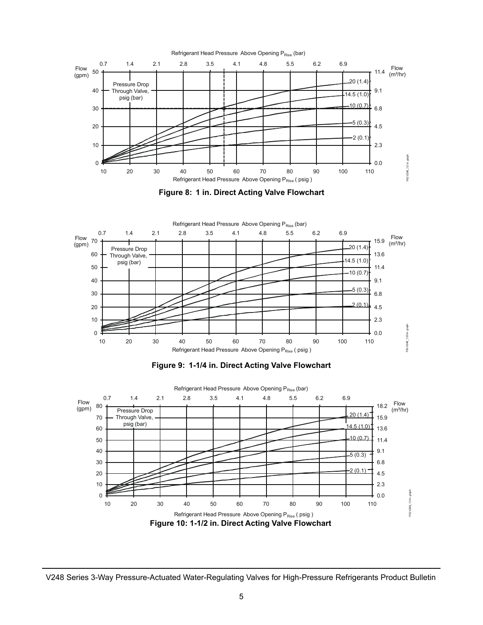

<span id="page-4-1"></span>



<span id="page-4-0"></span>



V248 Series 3-Way Pressure-Actuated Water-Regulating Valves for High-Pressure Refrigerants Product Bulletin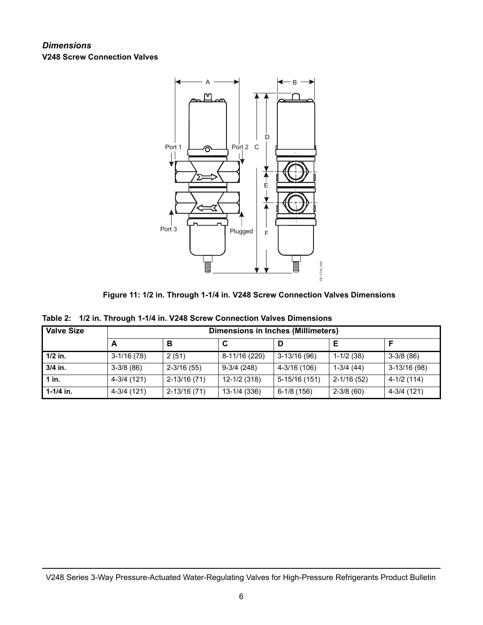# *Dimensions* **V248 Screw Connection Valves**





|  |  |  | Table 2: 1/2 in. Through 1-1/4 in. V248 Screw Connection Valves Dimensions |
|--|--|--|----------------------------------------------------------------------------|
|  |  |  |                                                                            |

| <b>Valve Size</b> | <b>Dimensions in Inches (Millimeters)</b> |                |               |               |                |              |  |  |
|-------------------|-------------------------------------------|----------------|---------------|---------------|----------------|--------------|--|--|
|                   | А                                         | в              | C             |               |                | E            |  |  |
| $1/2$ in.         | $3-1/16(78)$                              | 2(51)          | 8-11/16 (220) | $3-13/16(96)$ | $1-1/2(38)$    | $3-3/8(86)$  |  |  |
| 3/4 in.           | $3-3/8(86)$                               | $2 - 3/16(55)$ | $9-3/4(248)$  | 4-3/16 (106)  | $1-3/4(44)$    | 3-13/16 (98) |  |  |
| $1$ in.           | 4-3/4 (121)                               | 2-13/16 (71)   | 12-1/2 (318)  | 5-15/16 (151) | $2 - 1/16(52)$ | 4-1/2 (114)  |  |  |
| $1 - 1/4$ in.     | 4-3/4 (121)                               | 2-13/16 (71)   | 13-1/4 (336)  | 6-1/8 (156)   | $2 - 3/8$ (60) | 4-3/4 (121)  |  |  |

V248 Series 3-Way Pressure-Actuated Water-Regulating Valves for High-Pressure Refrigerants Product Bulletin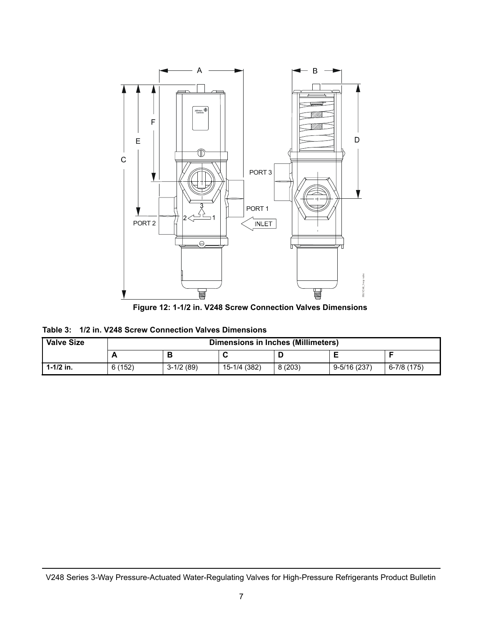

**Figure 12: 1-1/2 in. V248 Screw Connection Valves Dimensions**

| Table 3: 1/2 in. V248 Screw Connection Valves Dimensions |  |
|----------------------------------------------------------|--|
|----------------------------------------------------------|--|

| <b>Valve Size</b> |        | Dimensions in Inches (Millimeters) |              |        |                 |             |  |  |
|-------------------|--------|------------------------------------|--------------|--------|-----------------|-------------|--|--|
|                   |        |                                    |              |        |                 |             |  |  |
| $1 - 1/2$ in.     | 6(152) | $3-1/2(89)$                        | 15-1/4 (382) | 8(203) | $9 - 5/16(237)$ | 6-7/8 (175) |  |  |

V248 Series 3-Way Pressure-Actuated Water-Regulating Valves for High-Pressure Refrigerants Product Bulletin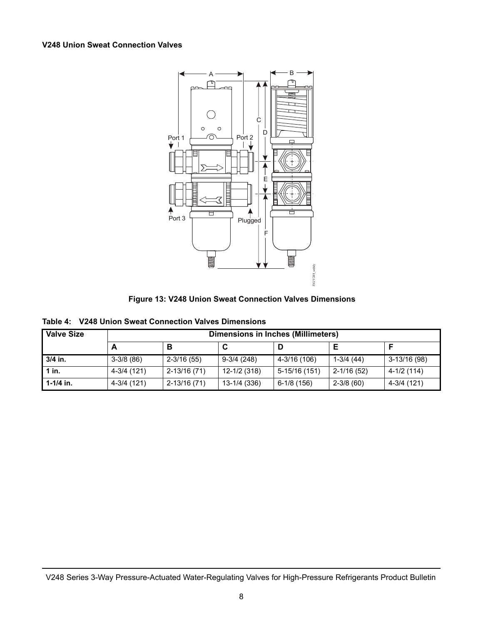# **V248 Union Sweat Connection Valves**



**Figure 13: V248 Union Sweat Connection Valves Dimensions**

|  |  |  |  | Table 4: V248 Union Sweat Connection Valves Dimensions |
|--|--|--|--|--------------------------------------------------------|
|--|--|--|--|--------------------------------------------------------|

| <b>Valve Size</b> |             | <b>Dimensions in Inches (Millimeters)</b> |              |               |                |               |  |  |
|-------------------|-------------|-------------------------------------------|--------------|---------------|----------------|---------------|--|--|
|                   |             | В                                         | C            |               |                |               |  |  |
| 3/4 in.           | $3-3/8(86)$ | $2 - 3/16(55)$                            | $9-3/4(248)$ | 4-3/16 (106)  | $1-3/4(44)$    | $3-13/16(98)$ |  |  |
| $1$ in.           | 4-3/4 (121) | 2-13/16 (71)                              | 12-1/2 (318) | 5-15/16 (151) | $2 - 1/16(52)$ | 4-1/2 (114)   |  |  |
| $1 - 1/4$ in.     | 4-3/4 (121) | 2-13/16 (71)                              | 13-1/4 (336) | $6-1/8(156)$  | $2 - 3/8$ (60) | 4-3/4 (121)   |  |  |

V248 Series 3-Way Pressure-Actuated Water-Regulating Valves for High-Pressure Refrigerants Product Bulletin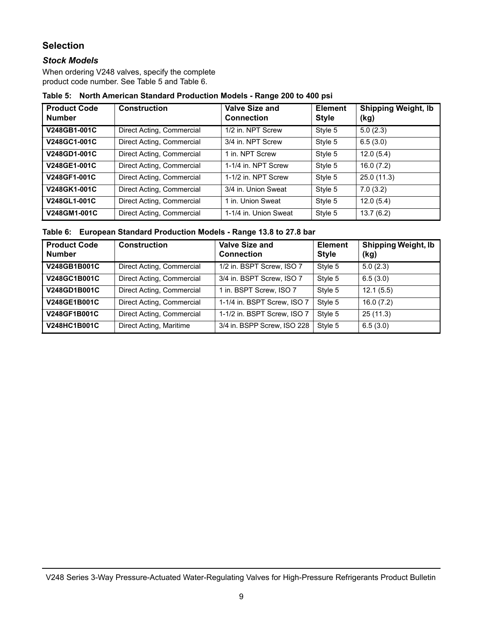# **Selection**

# *Stock Models*

When ordering V248 valves, specify the complete product code number. See Table 5 and Table 6.

# **Table 5: North American Standard Production Models - Range 200 to 400 psi**

| <b>Product Code</b><br><b>Number</b> | <b>Construction</b>       | <b>Valve Size and</b><br><b>Connection</b> | <b>Element</b><br><b>Style</b> | <b>Shipping Weight, Ib</b><br>(kg) |
|--------------------------------------|---------------------------|--------------------------------------------|--------------------------------|------------------------------------|
| V248GB1-001C                         | Direct Acting, Commercial | 1/2 in. NPT Screw                          | Style 5                        | 5.0(2.3)                           |
| V248GC1-001C                         | Direct Acting, Commercial | 3/4 in. NPT Screw                          | Style 5                        | 6.5(3.0)                           |
| V248GD1-001C                         | Direct Acting, Commercial | 1 in. NPT Screw                            | Style 5                        | 12.0(5.4)                          |
| V248GE1-001C                         | Direct Acting, Commercial | 1-1/4 in. NPT Screw                        | Style 5                        | 16.0(7.2)                          |
| V248GF1-001C                         | Direct Acting, Commercial | 1-1/2 in. NPT Screw                        | Style 5                        | 25.0(11.3)                         |
| V248GK1-001C                         | Direct Acting, Commercial | 3/4 in. Union Sweat                        | Style 5                        | 7.0(3.2)                           |
| V248GL1-001C                         | Direct Acting, Commercial | 1 in. Union Sweat                          | Style 5                        | 12.0(5.4)                          |
| V248GM1-001C                         | Direct Acting, Commercial | 1-1/4 in. Union Sweat                      | Style 5                        | 13.7(6.2)                          |

### **Table 6: European Standard Production Models - Range 13.8 to 27.8 bar**

| <b>Product Code</b><br><b>Number</b> | <b>Construction</b>       | <b>Valve Size and</b><br><b>Connection</b> | <b>Element</b><br><b>Style</b> | <b>Shipping Weight, Ib</b><br>(kg) |
|--------------------------------------|---------------------------|--------------------------------------------|--------------------------------|------------------------------------|
| V248GB1B001C                         | Direct Acting, Commercial | 1/2 in. BSPT Screw, ISO 7                  | Style 5                        | 5.0(2.3)                           |
| V248GC1B001C                         | Direct Acting, Commercial | 3/4 in. BSPT Screw, ISO 7                  | Style 5                        | 6.5(3.0)                           |
| V248GD1B001C                         | Direct Acting, Commercial | 1 in. BSPT Screw, ISO 7                    | Style 5                        | 12.1(5.5)                          |
| V248GE1B001C                         | Direct Acting, Commercial | 1-1/4 in. BSPT Screw, ISO 7                | Style 5                        | 16.0(7.2)                          |
| V248GF1B001C                         | Direct Acting, Commercial | 1-1/2 in. BSPT Screw, ISO 7                | Style 5                        | 25(11.3)                           |
| V248HC1B001C                         | Direct Acting, Maritime   | 3/4 in. BSPP Screw, ISO 228                | Style 5                        | 6.5(3.0)                           |

V248 Series 3-Way Pressure-Actuated Water-Regulating Valves for High-Pressure Refrigerants Product Bulletin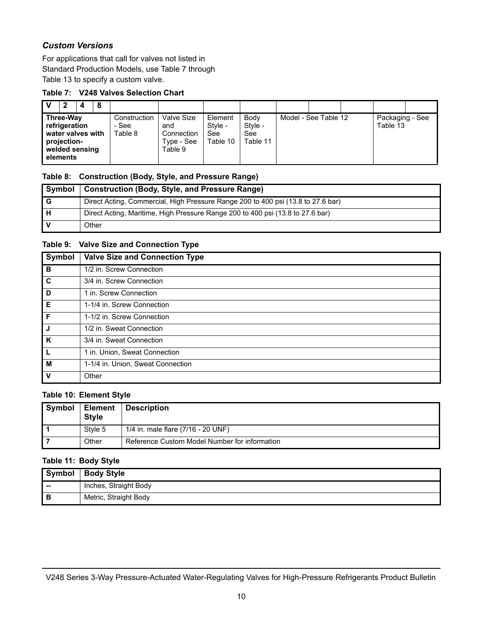# *Custom Versions*

For applications that call for valves not listed in Standard Production Models, use [Table 7](#page-9-4) through [Table 13](#page-10-1) to specify a custom valve.

# <span id="page-9-4"></span>**Table 7: V248 Valves Selection Chart**

| 2                                                                                            | 4 | 8 |                                  |                                                          |                                       |                                           |                      |                             |  |
|----------------------------------------------------------------------------------------------|---|---|----------------------------------|----------------------------------------------------------|---------------------------------------|-------------------------------------------|----------------------|-----------------------------|--|
| Three-Way<br>refrigeration<br>water valves with<br>projection-<br>welded sensing<br>elements |   |   | Construction<br>- See<br>Table 8 | Valve Size<br>and<br>Connection<br>Type - See<br>Table 9 | Element<br>Style -<br>See<br>Table 10 | <b>Body</b><br>Style -<br>See<br>Table 11 | Model - See Table 12 | Packaging - See<br>Table 13 |  |

# <span id="page-9-0"></span>**Table 8: Construction (Body, Style, and Pressure Range)**

| Symbol | Construction (Body, Style, and Pressure Range)                                   |
|--------|----------------------------------------------------------------------------------|
| ı G    | Direct Acting, Commercial, High Pressure Range 200 to 400 psi (13.8 to 27.6 bar) |
| ' H    | Direct Acting, Maritime, High Pressure Range 200 to 400 psi (13.8 to 27.6 bar)   |
|        | Other                                                                            |

# <span id="page-9-1"></span>**Table 9: Valve Size and Connection Type**

| <b>Symbol</b> | <b>Valve Size and Connection Type</b> |
|---------------|---------------------------------------|
| B             | 1/2 in. Screw Connection              |
| C             | 3/4 in. Screw Connection              |
| D             | 1 in. Screw Connection                |
| Е             | 1-1/4 in. Screw Connection            |
| $\mathsf F$   | 1-1/2 in. Screw Connection            |
| J             | 1/2 in. Sweat Connection              |
| K             | 3/4 in. Sweat Connection              |
|               | 1 in. Union, Sweat Connection         |
| M             | 1-1/4 in. Union, Sweat Connection     |
| $\mathsf{v}$  | Other                                 |

# <span id="page-9-2"></span>**Table 10: Element Style**

| Symbol | <b>Element</b><br><b>Style</b> | <b>Description</b>                            |
|--------|--------------------------------|-----------------------------------------------|
|        | Style 5                        | 1/4 in. male flare (7/16 - 20 UNF)            |
|        | Other                          | Reference Custom Model Number for information |

# <span id="page-9-3"></span>**Table 11: Body Style**

|       | Symbol   Body Style   |
|-------|-----------------------|
| $- -$ | Inches, Straight Body |
| в     | Metric, Straight Body |

V248 Series 3-Way Pressure-Actuated Water-Regulating Valves for High-Pressure Refrigerants Product Bulletin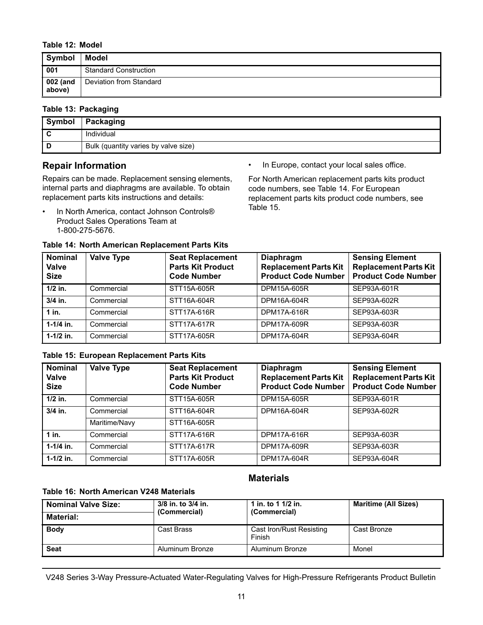#### <span id="page-10-0"></span>**Table 12: Model**

| Symbol             | <b>Model</b>                 |
|--------------------|------------------------------|
| 001                | <b>Standard Construction</b> |
| 002 (and<br>above) | Deviation from Standard      |

# <span id="page-10-1"></span>**Table 13: Packaging**

| Symbol | Packaging                            |
|--------|--------------------------------------|
|        | Individual                           |
|        | Bulk (quantity varies by valve size) |

# **Repair Information**

Repairs can be made. Replacement sensing elements, internal parts and diaphragms are available. To obtain replacement parts kits instructions and details:

- In North America, contact Johnson Controls® Product Sales Operations Team at 1-800-275-5676.
- In Europe, contact your local sales office.

For North American replacement parts kits product code numbers, see Table 14. For European replacement parts kits product code numbers, see Table 15.

| aple 14. North American Replacement Parts Rits |                   |                                                                           |                                                                         |                                                                                      |
|------------------------------------------------|-------------------|---------------------------------------------------------------------------|-------------------------------------------------------------------------|--------------------------------------------------------------------------------------|
| <b>Nominal</b><br><b>Valve</b><br><b>Size</b>  | <b>Valve Type</b> | <b>Seat Replacement</b><br><b>Parts Kit Product</b><br><b>Code Number</b> | Diaphragm<br><b>Replacement Parts Kit</b><br><b>Product Code Number</b> | <b>Sensing Element</b><br><b>Replacement Parts Kit</b><br><b>Product Code Number</b> |
| $1/2$ in.                                      | Commercial        | STT15A-605R                                                               | DPM15A-605R                                                             | SEP93A-601R                                                                          |
| $3/4$ in.                                      | Commercial        | STT16A-604R                                                               | DPM16A-604R                                                             | SEP93A-602R                                                                          |
| $1$ in.                                        | Commercial        | STT17A-616R                                                               | DPM17A-616R                                                             | SEP93A-603R                                                                          |
| $1-1/4$ in.                                    | Commercial        | STT17A-617R                                                               | DPM17A-609R                                                             | SEP93A-603R                                                                          |
| $1 - 1/2$ in.                                  | Commercial        | STT17A-605R                                                               | DPM17A-604R                                                             | SEP93A-604R                                                                          |

# **Table 14: North American Replacement Parts Kits**

#### **Table 15: European Replacement Parts Kits**

| <b>Nominal</b><br><b>Valve</b><br><b>Size</b> | <b>Valve Type</b> | <b>Seat Replacement</b><br><b>Parts Kit Product</b><br><b>Code Number</b> | Diaphragm<br><b>Replacement Parts Kit</b><br><b>Product Code Number</b> | <b>Sensing Element</b><br><b>Replacement Parts Kit</b><br><b>Product Code Number</b> |
|-----------------------------------------------|-------------------|---------------------------------------------------------------------------|-------------------------------------------------------------------------|--------------------------------------------------------------------------------------|
| $1/2$ in.                                     | Commercial        | STT15A-605R                                                               | DPM15A-605R                                                             | SEP93A-601R                                                                          |
| $3/4$ in.                                     | Commercial        | STT16A-604R                                                               | DPM16A-604R                                                             | SEP93A-602R                                                                          |
|                                               | Maritime/Navy     | STT16A-605R                                                               |                                                                         |                                                                                      |
| $1$ in.                                       | Commercial        | STT17A-616R                                                               | DPM17A-616R                                                             | SEP93A-603R                                                                          |
| $1 - 1/4$ in.                                 | Commercial        | STT17A-617R                                                               | DPM17A-609R                                                             | SEP93A-603R                                                                          |
| $1-1/2$ in.                                   | Commercial        | STT17A-605R                                                               | DPM17A-604R                                                             | SEP93A-604R                                                                          |

# **Materials**

# **Table 16: North American V248 Materials**

| l Nominal Valve Size: | 3/8 in. to 3/4 in.<br>(Commercial) | 1 in. to 1 $1/2$ in.<br>(Commercial) | <b>Maritime (All Sizes)</b> |
|-----------------------|------------------------------------|--------------------------------------|-----------------------------|
| Material:             |                                    |                                      |                             |
| <b>Body</b>           | Cast Brass                         | Cast Iron/Rust Resisting<br>Finish   | Cast Bronze                 |
| <b>Seat</b>           | Aluminum Bronze                    | Aluminum Bronze                      | Monel                       |

V248 Series 3-Way Pressure-Actuated Water-Regulating Valves for High-Pressure Refrigerants Product Bulletin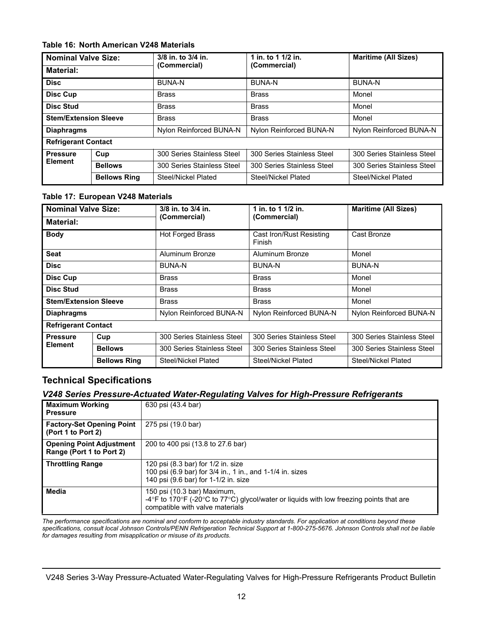# **Table 16: North American V248 Materials**

| <b>Nominal Valve Size:</b><br><b>Material:</b> |                     | 3/8 in. to 3/4 in.<br>(Commercial) | 1 in. to 1 1/2 in.<br>(Commercial) | <b>Maritime (All Sizes)</b> |
|------------------------------------------------|---------------------|------------------------------------|------------------------------------|-----------------------------|
|                                                |                     |                                    |                                    |                             |
| <b>Disc Cup</b>                                |                     | <b>Brass</b>                       | <b>Brass</b>                       | Monel                       |
| <b>Disc Stud</b>                               |                     | <b>Brass</b>                       | <b>Brass</b>                       | Monel                       |
| <b>Stem/Extension Sleeve</b>                   |                     | <b>Brass</b>                       | <b>Brass</b>                       | Monel                       |
| <b>Diaphragms</b>                              |                     | Nylon Reinforced BUNA-N            | Nylon Reinforced BUNA-N            | Nylon Reinforced BUNA-N     |
| <b>Refrigerant Contact</b>                     |                     |                                    |                                    |                             |
| <b>Pressure</b>                                | Cup                 | 300 Series Stainless Steel         | 300 Series Stainless Steel         | 300 Series Stainless Steel  |
| <b>Element</b>                                 | <b>Bellows</b>      | 300 Series Stainless Steel         | 300 Series Stainless Steel         | 300 Series Stainless Steel  |
|                                                | <b>Bellows Ring</b> | Steel/Nickel Plated                | Steel/Nickel Plated                | Steel/Nickel Plated         |

# **Table 17: European V248 Materials**

| <b>Nominal Valve Size:</b><br><b>Material:</b> |                     | 3/8 in. to 3/4 in.<br>(Commercial) | 1 in. to 1 1/2 in.<br>(Commercial) | <b>Maritime (All Sizes)</b> |
|------------------------------------------------|---------------------|------------------------------------|------------------------------------|-----------------------------|
|                                                |                     |                                    |                                    |                             |
| <b>Seat</b>                                    |                     | Aluminum Bronze                    | Aluminum Bronze                    | Monel                       |
| <b>Disc</b>                                    |                     | <b>BUNA-N</b>                      | BUNA-N                             | <b>BUNA-N</b>               |
| <b>Disc Cup</b>                                |                     | <b>Brass</b>                       | <b>Brass</b>                       | Monel                       |
| <b>Disc Stud</b>                               |                     | Brass                              | <b>Brass</b>                       | Monel                       |
| <b>Stem/Extension Sleeve</b>                   |                     | <b>Brass</b>                       | <b>Brass</b>                       | Monel                       |
| <b>Diaphragms</b>                              |                     | Nylon Reinforced BUNA-N            | Nylon Reinforced BUNA-N            | Nylon Reinforced BUNA-N     |
| <b>Refrigerant Contact</b>                     |                     |                                    |                                    |                             |
| <b>Pressure</b>                                | Cup                 | 300 Series Stainless Steel         | 300 Series Stainless Steel         | 300 Series Stainless Steel  |
| <b>Element</b>                                 | <b>Bellows</b>      | 300 Series Stainless Steel         | 300 Series Stainless Steel         | 300 Series Stainless Steel  |
|                                                | <b>Bellows Ring</b> | Steel/Nickel Plated                | Steel/Nickel Plated                | Steel/Nickel Plated         |

# **Technical Specifications**

# *V248 Series Pressure-Actuated Water-Regulating Valves for High-Pressure Refrigerants*

| <b>Maximum Working</b><br><b>Pressure</b>                   | 630 psi (43.4 bar)                                                                                                                                        |
|-------------------------------------------------------------|-----------------------------------------------------------------------------------------------------------------------------------------------------------|
| <b>Factory-Set Opening Point</b><br>(Port 1 to Port 2)      | 275 psi (19.0 bar)                                                                                                                                        |
| <b>Opening Point Adjustment</b><br>Range (Port 1 to Port 2) | 200 to 400 psi (13.8 to 27.6 bar)                                                                                                                         |
| <b>Throttling Range</b>                                     | 120 psi (8.3 bar) for 1/2 in. size<br>100 psi (6.9 bar) for 3/4 in., 1 in., and 1-1/4 in. sizes<br>140 psi (9.6 bar) for 1-1/2 in. size                   |
| <b>Media</b>                                                | 150 psi (10.3 bar) Maximum,<br>-4°F to 170°F (-20°C to 77°C) glycol/water or liguids with low freezing points that are<br>compatible with valve materials |

*The performance specifications are nominal and conform to acceptable industry standards. For application at conditions beyond these specifications, consult local Johnson Controls/PENN Refrigeration Technical Support at 1-800-275-5676. Johnson Controls shall not be liable for damages resulting from misapplication or misuse of its products.*